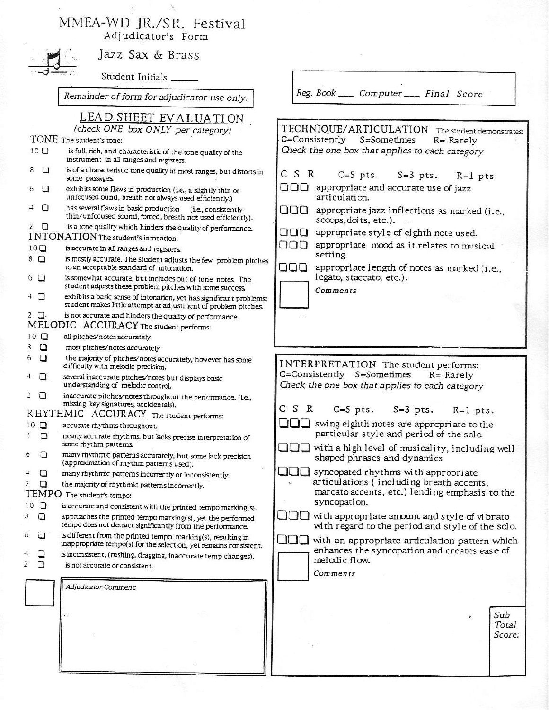## MMEA-WD JR./SR. Festival Adjudicator's Form



Jazz Sax & Brass

Student Initials

Remainder of form for adjudicator use only.

LEAD SHEET EVALUATION

(check ONE box ONLY per category) TONE The student's tone:

- $10<sub>D</sub>$ is full, rich, and characteristic of the tone quality of the instrument in all ranges and registers.
- $8$   $\Box$ is of a characteristic tone quality in most ranges, but distorts in some passages.
- $\Box$ exhibits some flaws in production (i.e., a slightly thin or 6 unfocused ound, breath not always used efficiently.)

 $\Box$  $\overline{+}$ has several flaws in basic production (i.e., consistently thin/unfocused sound, forced, breath not used efficiently).

 $2$   $\Box$ is a tone quality which hinders the quality of performance.

- INTONATION The student's intonation:
- $10<sup>o</sup>$ is accurate in all ranges and registers.
- is mostly accurate. The student adjusts the few problem pitches  $8\Box$ to an acceptable standard of intonation.
- is somewhat accurate, but includes out of tune notes. The 6 □ student adjusts these problem pitches with some success.
- $+$   $\Box$ exhibits a basic sense of intonation, yet has significant problems; student makes little attempt at adjustment of problem pitches.
- $2$   $\Box$ is not accurate and hinders the quality of performance.
- MELODIC ACCURACY The student performs:
- $10$   $\Box$ all pitches/notes accurately.
- $\mathbf{8}$  $\Box$ most pitches/notes accurately
- the majority of pitches/notes accurately; however has some 6  $\Box$ difficulty with melodic precision.
- $\overline{4}$  $\Box$ several inaccurate pitches/notes but displays basic understanding of melodic control.
- inaccurate pitches/notes throughout the performance. (i.e.,  $\overline{c}$  $\Box$ missing key signatures, accidentals).
- RHYTHMIC ACCURACY The student performs:
- $10$   $\Box$ accurate rhythms throughout.
- nearly accurate rhythms, but lacks precise interpretation of  $\mathfrak{S}$  $\Box$ some rhythm patterns.
- $\Box$ many rhythmic patterns accurately, but some lack precision 6 (approximation of rhythm patterns used).
- $\Box$ A. many rhythmic patterns incorrectly or inconsistently.
- $\overline{\phantom{a}}$  $\Box$ the majority of rhythmic patterns incorrectly.

## TEMPO The student's tempo:

- $10$   $\Box$ is accurate and consistent with the printed tempo marking(s).
- approaches the printed tempo marking(s), yet the performed 3 а tempo does not detract significantly from the performance.
- is different from the printed tempo marking(s), resulting in 6 □ inappropriate tempo(s) for the selection, yet remains consistent.
- $\Box$ is inconsistent, (rushing, dragging, inaccurate temp changes). 2
	- $\Box$ is not accurate or consistent.

Adjudicator Comment:

Reg. Book \_\_\_\_\_ Computer \_\_\_\_ Final Score

TECHNIQUE/ARTICULATION The student demonstrates: C=Consistently S=Sometimes  $R = Rarelv$ Check the one box that applies to each category C S R  $C=5$  pts.  $S=3$  pts.  $R=1$  pts  $\Box$  $\Box$  appropriate and accurate use of jazz articulation. appropriate jazz inflections as marked (i.e., 000 scoops, doits, etc.).  $\Box$  $\Box$  appropriate style of eighth note used. OOO appropriate mood as it relates to musical setting. 000 appropriate length of notes as marked (i.e., legato, staccato, etc.). Comments

INTERPRETATION The student performs: C=Consistently S=Sometimes  $R = Rarely$ Check the one box that applies to each category C S R  $C=5$  pts.  $S=3$  pts.  $R=1$  pts.  $\Box$  swing eighth notes are appropriate to the particular style and period of the solo.  $\square\square\square$  with a high level of musicality, including well shaped phrases and dynamics  $\Box$  syncopated rhythms with appropriate

articulations (including breath accents, marcato accents, etc.) lending emphasis to the syncopation.

 $\Box\Box$  with appropriate amount and style of vibrato with regard to the period and style of the solo.

 $\Box$ with an appropriate articulation pattern which enhances the syncopation and creates ease of melodic flow.

Comments

Sub Total Score: